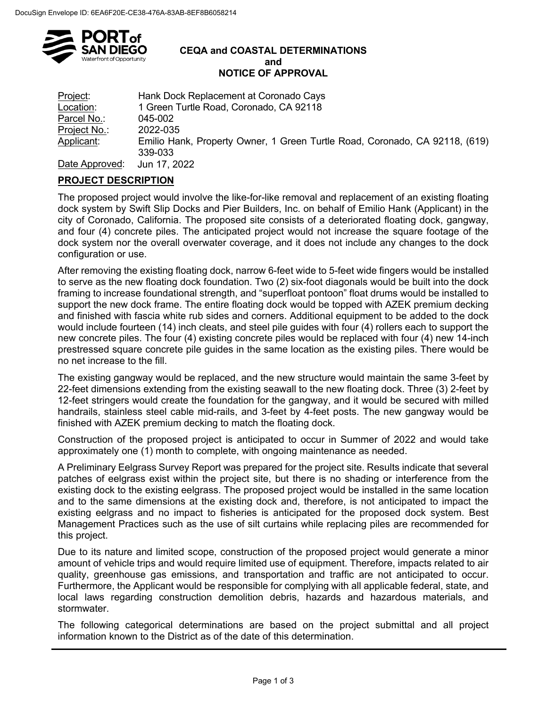

#### **CEQA and COASTAL DETERMINATIONS and NOTICE OF APPROVAL**

| <u>Project:</u> | Hank Dock Replacement at Coronado Cays                                                 |
|-----------------|----------------------------------------------------------------------------------------|
| Location:       | 1 Green Turtle Road, Coronado, CA 92118                                                |
| Parcel No.:     | 045-002                                                                                |
| Project No.:    | 2022-035                                                                               |
| Applicant:      | Emilio Hank, Property Owner, 1 Green Turtle Road, Coronado, CA 92118, (619)<br>339-033 |
| Dota Approvad.  | 1.12.000                                                                               |

Date Approved: Jun 17, 2022

# **PROJECT DESCRIPTION**

The proposed project would involve the like-for-like removal and replacement of an existing floating dock system by Swift Slip Docks and Pier Builders, Inc. on behalf of Emilio Hank (Applicant) in the city of Coronado, California. The proposed site consists of a deteriorated floating dock, gangway, and four (4) concrete piles. The anticipated project would not increase the square footage of the dock system nor the overall overwater coverage, and it does not include any changes to the dock configuration or use.

After removing the existing floating dock, narrow 6-feet wide to 5-feet wide fingers would be installed to serve as the new floating dock foundation. Two (2) six-foot diagonals would be built into the dock framing to increase foundational strength, and "superfloat pontoon" float drums would be installed to support the new dock frame. The entire floating dock would be topped with AZEK premium decking and finished with fascia white rub sides and corners. Additional equipment to be added to the dock would include fourteen (14) inch cleats, and steel pile guides with four (4) rollers each to support the new concrete piles. The four (4) existing concrete piles would be replaced with four (4) new 14-inch prestressed square concrete pile guides in the same location as the existing piles. There would be no net increase to the fill.

The existing gangway would be replaced, and the new structure would maintain the same 3-feet by 22-feet dimensions extending from the existing seawall to the new floating dock. Three (3) 2-feet by 12-feet stringers would create the foundation for the gangway, and it would be secured with milled handrails, stainless steel cable mid-rails, and 3-feet by 4-feet posts. The new gangway would be finished with AZEK premium decking to match the floating dock.

Construction of the proposed project is anticipated to occur in Summer of 2022 and would take approximately one (1) month to complete, with ongoing maintenance as needed.

A Preliminary Eelgrass Survey Report was prepared for the project site. Results indicate that several patches of eelgrass exist within the project site, but there is no shading or interference from the existing dock to the existing eelgrass. The proposed project would be installed in the same location and to the same dimensions at the existing dock and, therefore, is not anticipated to impact the existing eelgrass and no impact to fisheries is anticipated for the proposed dock system. Best Management Practices such as the use of silt curtains while replacing piles are recommended for this project.

Due to its nature and limited scope, construction of the proposed project would generate a minor amount of vehicle trips and would require limited use of equipment. Therefore, impacts related to air quality, greenhouse gas emissions, and transportation and traffic are not anticipated to occur. Furthermore, the Applicant would be responsible for complying with all applicable federal, state, and local laws regarding construction demolition debris, hazards and hazardous materials, and stormwater.

The following categorical determinations are based on the project submittal and all project information known to the District as of the date of this determination.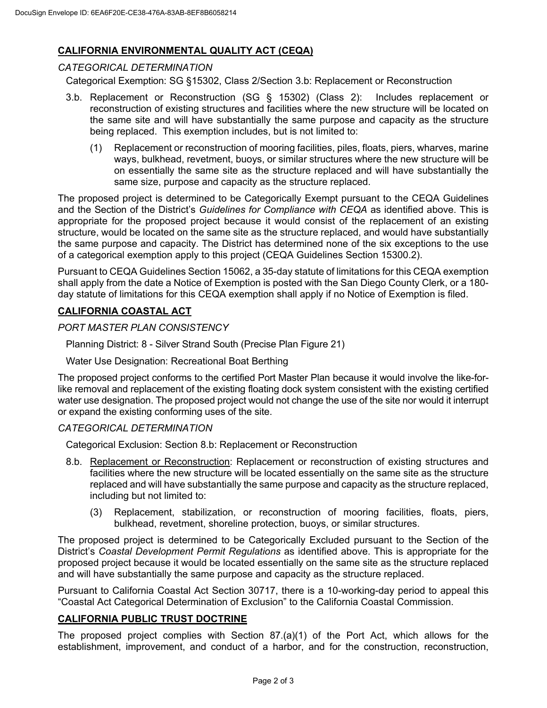# **CALIFORNIA ENVIRONMENTAL QUALITY ACT (CEQA)**

### *CATEGORICAL DETERMINATION*

Categorical Exemption: SG §15302, Class 2/Section 3.b: Replacement or Reconstruction

- 3.b. Replacement or Reconstruction (SG § 15302) (Class 2): Includes replacement or reconstruction of existing structures and facilities where the new structure will be located on the same site and will have substantially the same purpose and capacity as the structure being replaced. This exemption includes, but is not limited to:
	- (1) Replacement or reconstruction of mooring facilities, piles, floats, piers, wharves, marine ways, bulkhead, revetment, buoys, or similar structures where the new structure will be on essentially the same site as the structure replaced and will have substantially the same size, purpose and capacity as the structure replaced.

The proposed project is determined to be Categorically Exempt pursuant to the CEQA Guidelines and the Section of the District's *Guidelines for Compliance with CEQA* as identified above. This is appropriate for the proposed project because it would consist of the replacement of an existing structure, would be located on the same site as the structure replaced, and would have substantially the same purpose and capacity. The District has determined none of the six exceptions to the use of a categorical exemption apply to this project (CEQA Guidelines Section 15300.2).

Pursuant to CEQA Guidelines Section 15062, a 35-day statute of limitations for this CEQA exemption shall apply from the date a Notice of Exemption is posted with the San Diego County Clerk, or a 180 day statute of limitations for this CEQA exemption shall apply if no Notice of Exemption is filed.

## **CALIFORNIA COASTAL ACT**

## *PORT MASTER PLAN CONSISTENCY*

Planning District: 8 - Silver Strand South (Precise Plan Figure 21)

Water Use Designation: Recreational Boat Berthing

The proposed project conforms to the certified Port Master Plan because it would involve the like-forlike removal and replacement of the existing floating dock system consistent with the existing certified water use designation. The proposed project would not change the use of the site nor would it interrupt or expand the existing conforming uses of the site.

### *CATEGORICAL DETERMINATION*

Categorical Exclusion: Section 8.b: Replacement or Reconstruction

- 8.b. Replacement or Reconstruction: Replacement or reconstruction of existing structures and facilities where the new structure will be located essentially on the same site as the structure replaced and will have substantially the same purpose and capacity as the structure replaced, including but not limited to:
	- (3) Replacement, stabilization, or reconstruction of mooring facilities, floats, piers, bulkhead, revetment, shoreline protection, buoys, or similar structures.

The proposed project is determined to be Categorically Excluded pursuant to the Section of the District's *Coastal Development Permit Regulations* as identified above. This is appropriate for the proposed project because it would be located essentially on the same site as the structure replaced and will have substantially the same purpose and capacity as the structure replaced.

Pursuant to California Coastal Act Section 30717, there is a 10-working-day period to appeal this "Coastal Act Categorical Determination of Exclusion" to the California Coastal Commission.

## **CALIFORNIA PUBLIC TRUST DOCTRINE**

The proposed project complies with Section 87.(a)(1) of the Port Act, which allows for the establishment, improvement, and conduct of a harbor, and for the construction, reconstruction,